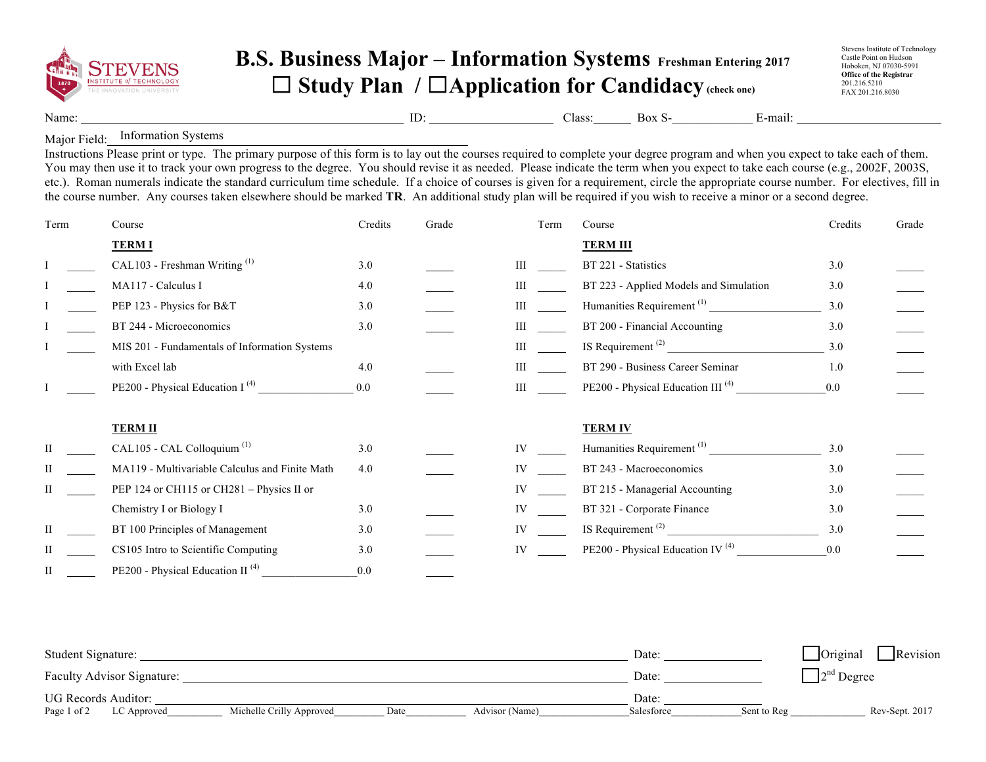

## **B.S. Business Major – Information Systems Freshman Entering 2017** ☐ **Study Plan /** ☐**Application for Candidacy(check one)**

Stevens Institute of Technology Castle Point on Hudson Hoboken, NJ 07030-5991 **Office of the Registrar**  201.216.5210 FAX 201.216.8030

Name: ID: Class: Box S- E-mail:

Major Field: Information Systems

Instructions Please print or type. The primary purpose of this form is to lay out the courses required to complete your degree program and when you expect to take each of them. You may then use it to track your own progress to the degree. You should revise it as needed. Please indicate the term when you expect to take each course (e.g., 2002F, 2003S, etc.). Roman numerals indicate the standard curriculum time schedule. If a choice of courses is given for a requirement, circle the appropriate course number. For electives, fill in the course number. Any courses taken elsewhere should be marked **TR**. An additional study plan will be required if you wish to receive a minor or a second degree.

| Term | Course                                         | Credits | Grade | Term      | Course                                        | Credits | Grade |
|------|------------------------------------------------|---------|-------|-----------|-----------------------------------------------|---------|-------|
|      | <b>TERMI</b>                                   |         |       |           | <b>TERM III</b>                               |         |       |
|      | CAL103 - Freshman Writing <sup>(1)</sup>       | 3.0     |       | Ш         | BT 221 - Statistics                           | 3.0     |       |
|      | MA117 - Calculus I                             | 4.0     |       | Ш         | BT 223 - Applied Models and Simulation        | 3.0     |       |
|      | PEP 123 - Physics for B&T                      | 3.0     |       |           | Humanities Requirement <sup>(1)</sup>         | 3.0     |       |
|      | BT 244 - Microeconomics                        | 3.0     |       | Ш         | BT 200 - Financial Accounting                 | 3.0     |       |
|      | MIS 201 - Fundamentals of Information Systems  |         |       | Ш         | IS Requirement <sup>(2)</sup>                 | 3.0     |       |
|      | with Excel lab                                 | 4.0     |       | Ш         | BT 290 - Business Career Seminar              | 1.0     |       |
|      | PE200 - Physical Education I <sup>(4)</sup>    | 0.0     |       | Ш         | PE200 - Physical Education III <sup>(4)</sup> | 0.0     |       |
|      | <b>TERM II</b>                                 |         |       |           | <b>TERM IV</b>                                |         |       |
|      | CAL105 - CAL Colloquium <sup>(1)</sup>         | 3.0     |       | <b>IV</b> | Humanities Requirement <sup>(1)</sup>         | 3.0     |       |
|      | MA119 - Multivariable Calculus and Finite Math | 4.0     |       | IV        | BT 243 - Macroeconomics                       | 3.0     |       |
| П    | PEP 124 or CH115 or CH281 - Physics II or      |         |       | IV        | BT 215 - Managerial Accounting                | 3.0     |       |
|      | Chemistry I or Biology I                       | 3.0     |       | IV        | BT 321 - Corporate Finance                    | 3.0     |       |
| П    | BT 100 Principles of Management                | 3.0     |       |           | IS Requirement <sup><math>(2)</math></sup>    | 3.0     |       |
|      | CS105 Intro to Scientific Computing            | 3.0     |       | IV        | PE200 - Physical Education IV <sup>(4)</sup>  | 0.0     |       |
| H    | PE200 - Physical Education II <sup>(4)</sup>   | 0.0     |       |           |                                               |         |       |

| Student Signature:         |                          |      |                | Date:      |             | $\Box$ Original<br>Revision   |
|----------------------------|--------------------------|------|----------------|------------|-------------|-------------------------------|
| Faculty Advisor Signature: |                          |      |                | Date:      |             | $\Box$ 2 <sup>nd</sup> Degree |
| <b>UG Records Auditor:</b> |                          |      |                | Date:      |             |                               |
| Page 1 of 2<br>LC Approved | Michelle Crilly Approved | Date | Advisor (Name) | Salesforce | Sent to Reg | Rev-Sept. 2017                |